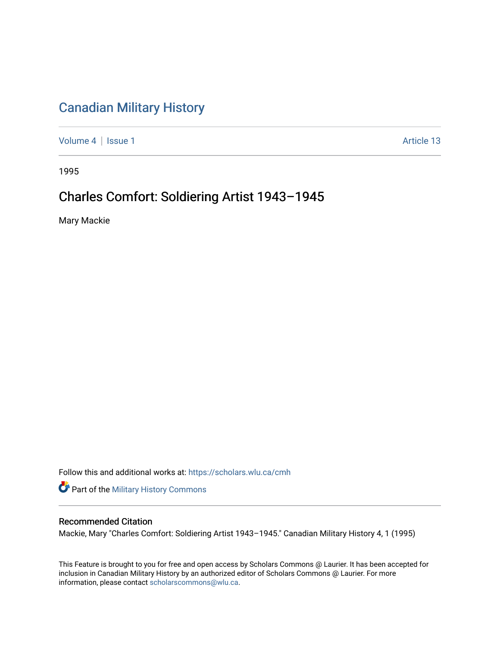## [Canadian Military History](https://scholars.wlu.ca/cmh)

[Volume 4](https://scholars.wlu.ca/cmh/vol4) | [Issue 1](https://scholars.wlu.ca/cmh/vol4/iss1) Article 13

1995

## Charles Comfort: Soldiering Artist 1943–1945

Mary Mackie

Follow this and additional works at: [https://scholars.wlu.ca/cmh](https://scholars.wlu.ca/cmh?utm_source=scholars.wlu.ca%2Fcmh%2Fvol4%2Fiss1%2F13&utm_medium=PDF&utm_campaign=PDFCoverPages)

Part of the [Military History Commons](http://network.bepress.com/hgg/discipline/504?utm_source=scholars.wlu.ca%2Fcmh%2Fvol4%2Fiss1%2F13&utm_medium=PDF&utm_campaign=PDFCoverPages) 

### Recommended Citation

Mackie, Mary "Charles Comfort: Soldiering Artist 1943–1945." Canadian Military History 4, 1 (1995)

This Feature is brought to you for free and open access by Scholars Commons @ Laurier. It has been accepted for inclusion in Canadian Military History by an authorized editor of Scholars Commons @ Laurier. For more information, please contact [scholarscommons@wlu.ca](mailto:scholarscommons@wlu.ca).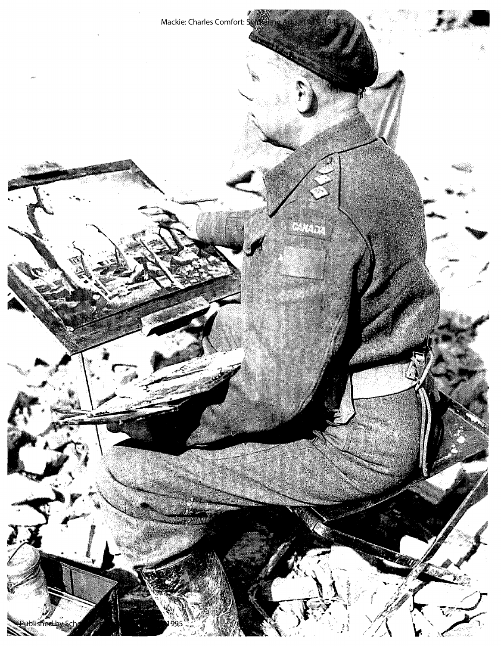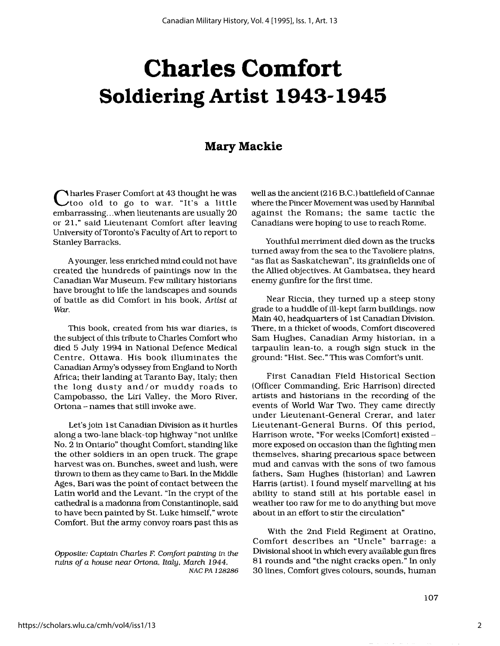# **Charles Comfort Soldiering Artist 1943-1945**

### **Mary Mackie**

Charles Fraser Comfort at 43 thought he was<br>
too old to go to war. "It's a little embarrassing ... when lieutenants are usually 20 or 21," said Lieutenant Comfort after leaving University of Toronto's Faculty of Art to report to Stanley Barracks.

A younger, less enriched mind could not have created the hundreds of paintings now in the Canadian War Museum. Few military historians have brought to life the landscapes and sounds of battle as did Comfort in his book, Artist at War.

This book, created from his war diaries, is the subject of this tribute to Charles Comfort who died 5 July 1994 in National Defence Medical Centre, Ottawa. His book illuminates the Canadian Army's odyssey from England to North Africa; their landing at Taranto Bay, Italy; then the long dusty and/or muddy roads to Campobasso, the Liri Valley, the Mora River, Ortona- names that still invoke awe.

Let's join 1st Canadian Division as it hurtles along a two-lane black-top highway "not unlike No. 2 in Ontario" thought Comfort, standing like the other soldiers in an open truck. The grape harvest was on. Bunches, sweet and lush, were thrown to them as they came to Bart. In the Middle Ages, Bari was the point of contact between the Latin world and the Levant. "In the crypt of the cathedral is a madonna from Constantinople, said to have been painted by St. Luke himself," wrote Comfort. But the army convoy roars past this as

Opposite: Captain Charles F. Comfort painting in the ruins of a house near Ortona, Italy, March 1944. NAC PA 128286 well as the ancient (216 B.C.) battlefield of Cannae where the Pincer Movement was used by Hannibal against the Romans; the same tactic the Canadians were hoping to use to reach Rome.

Youthful merriment died down as the trucks turned away from the sea to the Tavoliere plains, "as flat as Saskatchewan", its grainfields one of the Allied objectives. At Gambatsea, they heard enemy gunfire for the first time.

Near Riccia, they turned up a steep stony grade to a huddle of ill-kept farm buildings, now Main 40, headquarters of 1st Canadian Division. There, in a thicket of woods, Comfort discovered Sam Hughes, Canadian Army historian, in a tarpaulin lean-to, a rough sign stuck in the ground: "Hist. Sec." This was Comfort's unit.

First Canadian Field Historical Section (Officer Commanding, Eric Harrison) directed artists and historians in the recording of the events of World War Two. They came directly under Lieutenant-General Crerar, and later Lieutenant-General Burns. Of this period, Harrison wrote, "For weeks [Comfort] existedmore exposed on occasion than the fighting men themselves, sharing precarious space between mud and canvas with the sons of two famous fathers, Sam Hughes (historian) and Lawren Harris (artist). I found myself marvelling at his ability to stand still at his portable easel in weather too raw for me to do anything but move about in an effort to stir the circulation"

With the 2nd Field Regiment at Oratino, Comfort describes an "Uncle" barrage: a Divisional shoot in which every available gun fires 81 rounds and "the night cracks open." In only 30 lines, Comfort gives colours, sounds, human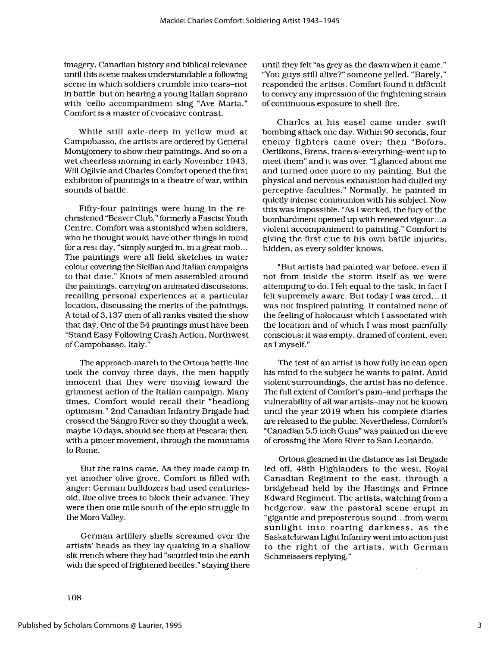imagery, Canadian history and biblical relevance until this scene makes understandable a following scene in which soldiers crumble into tears-not in battle-but on hearing a young Italian soprano with 'cello accompaniment sing "Ave Maria." Comfort is a master of evocative contrast.

While still axle-deep in yellow mud at Campobasso, the artists are ordered by General Montgomery to show their paintings. And so on a wet cheerless morning in early November 1943, Will Ogilvie and Charles Comfort opened the first exhibition of paintings in a theatre of war, within sounds of battle.

Fifty-four paintings were hung in the rechristened "Beaver Club," formerly a Fascist Youth Centre. Comfort was astonished when soldiers, who he thought would have other things in mind for a rest day, "simply surged in, in a great mob... The paintings were all field sketches in water colour covering the Sicilian and Italian campaigns to that date." Knots of men assembled around the paintings, carrying on animated discussions, recalling personal experiences at a particular location, discussing the merits of the paintings. A total of3, 137 men of all ranks visited the show that day. One of the 54 paintings must have been "Stand Easy Following Crash Action, Northwest ofCampobasso, Italy."

The approach-march to the Ortona battle-line took the convoy three days, the men happily innocent that they were moving toward the grimmest action of the Italian campaign. Many times, Comfort would recall their "headlong optimism." 2nd Canadian Infantry Brigade had crossed the Sangro River so they thought a week, maybe 10 days, should see them at Pescara; then, with a pincer movement, through the mountains to Rome.

But the rains came. As they made camp in yet another olive grove, Comfort is filled with anger: German bulldozers had used centuriesold, live olive trees to block their advance. They were then one mile south of the epic struggle in the Mora Valley.

German artillery shells screamed over the artists' heads as they lay quaking in a shallow slit trench where they had "scuttled into the earth with the speed of frightened beetles," staying there until they felt "as grey as the dawn when it came." "You guys still alive?" someone yelled. "Barely," responded the artists. Comfort found it difficult to convey any impression of the frightening strain of continuous exposure to shell-fire.

Charles at his easel came under swift bombing attack one day. Within 90 seconds, four enemy fighters came over; then "Bofors, Oerlikons, Brens, tracers-everything-went up to meet them" and it was over. "I glanced about me and turned once more to my painting. But the physical and nervous exhaustion had dulled my perceptive faculties." Normally, he painted in quietly intense communion with his subject. Now this was impossible. "As I worked, the fury of the bombardment opened up with renewed vigour ... a violent accompaniment to painting." Comfort is giving the first clue to his own battle injuries, hidden, as every soldier knows.

"But artists had painted war before, even if not from inside the storm itself as we were attempting to do. I felt equal to the task, in fact I felt supremely aware. But today I was tired... it was not inspired painting. It contained none of the feeling of holocaust which I associated with the location and of which I was most painfully conscious; it was empty, drained of content, even as I myself."

The test of an artist is how fully he can open his mind to the subject he wants to paint. Amid violent surroundings, the artist has no defence. The full extent of Comfort's pain-and perhaps the vulnerability of all war artists-may not be known until the year 2019 when his complete diaries are released to the public. Nevertheless, Comfort's "Canadian 5.5 inch Guns" was painted on the eve of crossing the Mora River to San Leonardo.

Ortona gleamed in the distance as 1st Brigade led off, 48th Highlanders to the west, Royal Canadian Regiment to the east, through a bridgehead held by the Hastings and Prince Edward Regiment. The artists, watching from a hedgerow, saw the pastoral scene erupt in "gigantic and preposterous sound ... from warm sunlight into roaring darkness, as the Saskatchewan Light Infantry went into action just to the right of the artists, with German Schmeissers replying."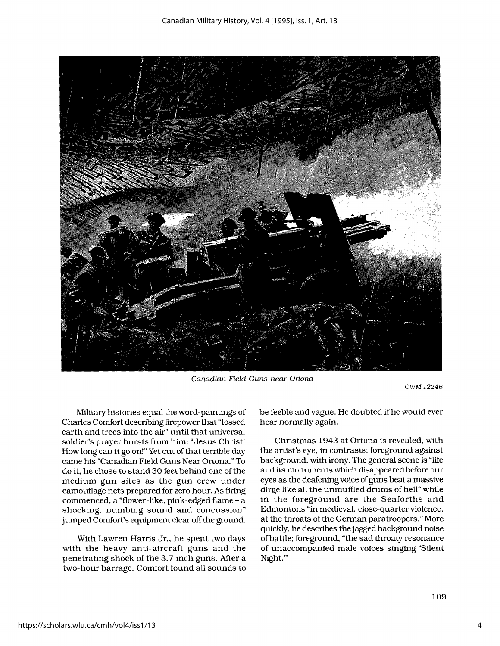

Canadian Field Guns near Ortona

CWM 12246

Military histories equal the word-paintings of Charles Comfort describing firepower that "tossed earth and trees into the air" until that universal soldier's prayer bursts from him: "Jesus Christ! How long can it go on!" Yet out of that terrible day came his "Canadian Field Guns Near Ortona." To do it, he chose to stand 30 feet behind one of the medium gun sites as the gun crew under camouflage nets prepared for zero hour. As firing commenced, a "flower-like, pink-edged flame- a shocking, numbing sound and concussion" jumped Comfort's equipment clear off the ground.

With Lawren Harris Jr., he spent two days with the heavy anti-aircraft guns and the penetrating shock of the 3.7 inch guns. After a two-hour barrage, Comfort found all sounds to be feeble and vague. He doubted if he would ever hear normally again.

Christmas 1943 at Ortona is revealed, with the artist's eye, in contrasts: foreground against background, with irony. The general scene is "life and its monuments which disappeared before our eyes as the deafening voice of guns beat a massive dirge like all the unmuffled drums of hell" while in the foreground are the Seaforths and Edmontons "in medieval, close-quarter violence, at the throats of the German paratroopers." More quickly, he describes the jagged background noise of battle; foreground, "the sad throaty resonance of unaccompanied male voices singing 'Silent Night."'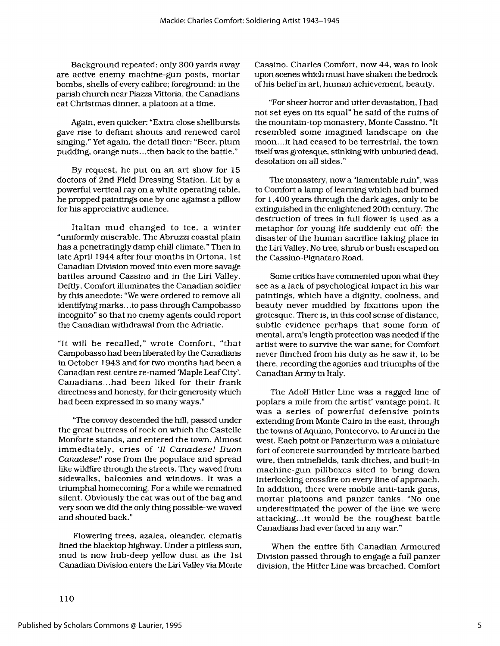Background repeated: only 300 yards away are active enemy machine-gun posts, mortar bombs, shells of every calibre; foreground: in the parish church near Piazza Vittoria, the Canadians eat Christmas dinner, a platoon at a time.

Again, even quicker: "Extra close shellbursts gave rise to defiant shouts and renewed carol singing." Yet again, the detail finer: "Beer, plum pudding, orange nuts ... then back to the battle."

By request, he put on an art show for 15 doctors of 2nd Field Dressing Station. Lit by a powerful vertical ray on a white operating table, he propped paintings one by one against a pillow for his appreciative audience.

Italian mud changed *to* ice, a winter "uniformly miserable. The Abruzzi coastal plain has a penetratingly damp chill climate." Then in late April 1944 after four months in Ortona, 1st Canadian Division moved into even more savage battles around Cassino and in the Liri Valley. Deftly, Comfort illuminates the Canadian soldier by this anecdote: "We were ordered to remove all identifying marks ... to pass through Campobasso incognito" so that no enemy agents could report the Canadian withdrawal from the Adriatic.

"It will be recalled," wrote Comfort, "that Campobasso had been liberated by the Canadians in October 1943 and for two months had been a Canadian rest centre re-named 'Maple Leaf City'. Canadians ... had been liked for their frank directness and honesty, for their generosity which had been expressed in so many ways."

'The convoy descended the hill, passed under the great buttress of rock on which the Castelle Monforte stands, and entered the town. Almost immediately, cries of 'Il Canadese! Buon Canadese!' rose from the populace and spread like wildfire through the streets. They waved from sidewalks, balconies and windows. It was a triumphal homecoming. For a while we remained silent. Obviously the cat was out of the bag and very soon we did the only thing possible-we waved and shouted back."

Flowering trees, azalea, oleander, clematis lined the blacktop highway. Under a pitiless sun, mud is now hub-deep yellow dust as the 1st Canadian Division enters the Liri Valley via Monte

Cassino. Charles Comfort, now 44, was to look upon scenes which must have shaken the bedrock of his belief in art, human achievement, beauty.

"For sheer horror and utter devastation, I had not set eyes on its equal" he said of the ruins of the mountain-top monastery, Monte Cassino. "It resembled some imagined landscape on the moon .. .it had ceased to be terrestrial, the town itself was grotesque, stinking with unburied dead, desolation on all sides."

The monastery, now a "lamentable ruin", was to Comfort a lamp of learning which had burned for 1,400 years through the dark ages, only *to* be extinguished in the enlightened 20th century. The destruction of trees in full flower is used as a metaphor for young life suddenly cut off: the disaster of the human sacrifice taking place in the Liri Valley. No tree, shrub or bush escaped on the Cassino-Pignataro Road.

Some critics have commented upon what they see as a lack of psychological impact in his war paintings, which have a dignity, coolness, and beauty never muddied by fixations upon the grotesque. There is, in this cool sense of distance, subtle evidence perhaps that some form of mental, arm's length protection was needed if the artist were *to* survive the war sane; for Comfort never flinched from his duty as he saw it, to be there, recording the agonies and triumphs of the Canadian Army in Italy.

The Adolf Hitler Line was a ragged line of poplars a mile from the artist' vantage point. It was a series of powerful defensive points extending from Monte Cairo in the east, through the towns of Aquino, Pontecorvo, to Arunci in the west. Each point or Panzerturm was a miniature fort of concrete surrounded by intricate barbed wire, then minefields, tank ditches, and built-in machine-gun pillboxes sited *to* bring down interlocking crossfire on every line of approach. In addition, there were mobile anti-tank guns, mortar platoons and panzer tanks. "No one underestimated the power of the line we were attacking...it would be the toughest battle Canadians had ever faced in any war."

When the entire 5th Canadian Armoured Division passed through to engage a full panzer division, the Hitler Line was breached. Comfort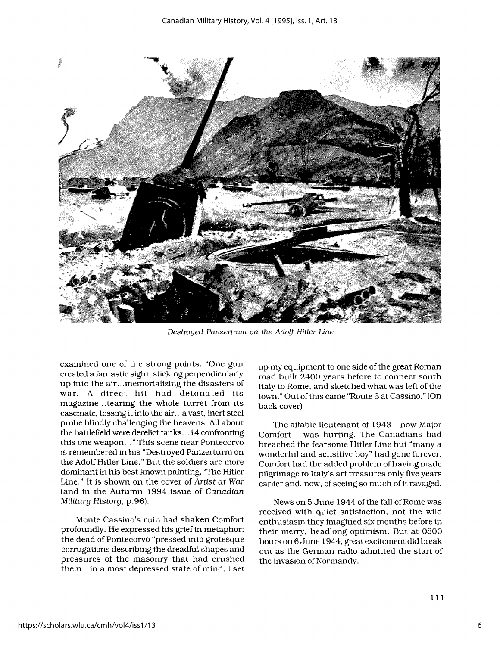

Destroyed Panzertrum on the Adolf Hitler Line

examined one of the strong points. "One gun created a fantastic sight, sticking perpendicularly up into the air ... memorializing the disasters of war. A direct hit had detonated its magazine ... tearing the whole turret from its casemate, tossing it into the air ... a vast, inert steel probe blindly challenging the heavens. All about the battlefield were derelict tanks ... 14 confronting this one weapon..." This scene near Pontecorvo is remembered in his "Destroyed Panzerturm on the Adolf Hitler Line." But the soldiers are more dominant in his best known painting, "The Hitler Line." It is shown on the cover of Artist at War (and in the Autumn 1994 issue of Canadian Military History, p.96).

Monte Cassino's ruin had shaken Comfort profoundly. He expressed his grief in metaphor: the dead of Pontecorvo "pressed into grotesque corrugations describing the dreadful shapes and pressures of the masonry that had crushed them ... in a most depressed state of mind, I set up my equipment to one side of the great Roman road built 2400 years before to connect south Italy to Rome, and sketched what was left of the town." Out of this came "Route 6 at Cassino." (On back cover)

The affable lieutenant of 1943 - now Major Comfort - was hurting. The Canadians had breached the fearsome Hitler Line but "many a wonderful and sensitive boy" had gone forever. Comfort had the added problem of having made pilgrimage to Italy's art treasures only five years earlier and, now, of seeing so much of it ravaged.

News on 5 June 1944 of the fall of Rome was received with quiet satisfaction, not the wild enthusiasm they imagined six months before in their merry, headlong optimism. But at 0800 hours on 6 June 1944, great excitement did break out as the German radio admitted the start of the invasion of Normandy.